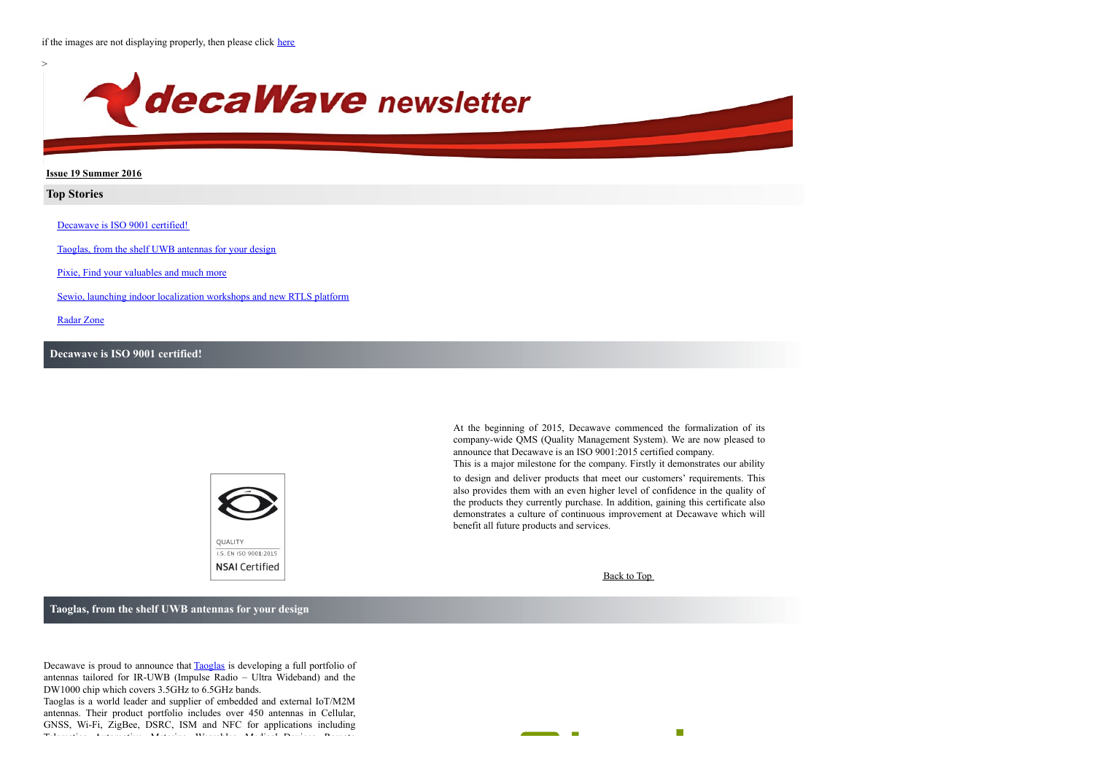

### **Issue 19 Summer 2016**

## **Top Stories**

[Decawave](#page-0-0) is ISO 9001 certified!

Taoglas, from the shelf UWB [antennas](#page-0-1) for your design

Pixie, Find your [valuables](#page-1-0) and much more

Sewio, launching indoor [localization](#page-1-1) workshops and new RTLS platform

[Radar](#page-2-0) Zone

## <span id="page-0-0"></span>**Decawave is ISO 9001 certified!**



At the beginning of 2015, Decawave commenced the formalization of its company-wide QMS (Quality Management System). We are now pleased to announce that Decawave is an ISO 9001:2015 certified company. This is a major milestone for the company. Firstly it demonstrates our ability

to design and deliver products that meet our customers' requirements. This also provides them with an even higher level of confidence in the quality of the products they currently purchase. In addition, gaining this certificate also demonstrates a culture of continuous improvement at Decawave which will benefit all future products and services.

**Contract** 

Back to Top

 $\mathcal{L}_{\mathcal{A}}$ 

<span id="page-0-1"></span>**Taoglas, from the shelf UWB antennas for your design**

Decawave is proud to announce that [Taoglas](http://www.taoglas.com/) is developing a full portfolio of antennas tailored for IR-UWB (Impulse Radio – Ultra Wideband) and the DW1000 chip which covers 3.5GHz to 6.5GHz bands.

Taoglas is a world leader and supplier of embedded and external IoT/M2M antennas. Their product portfolio includes over 450 antennas in Cellular, GNSS, Wi-Fi, ZigBee, DSRC, ISM and NFC for applications including Telematics, Automotive, Metering, Wearables, Medical Devices, Remote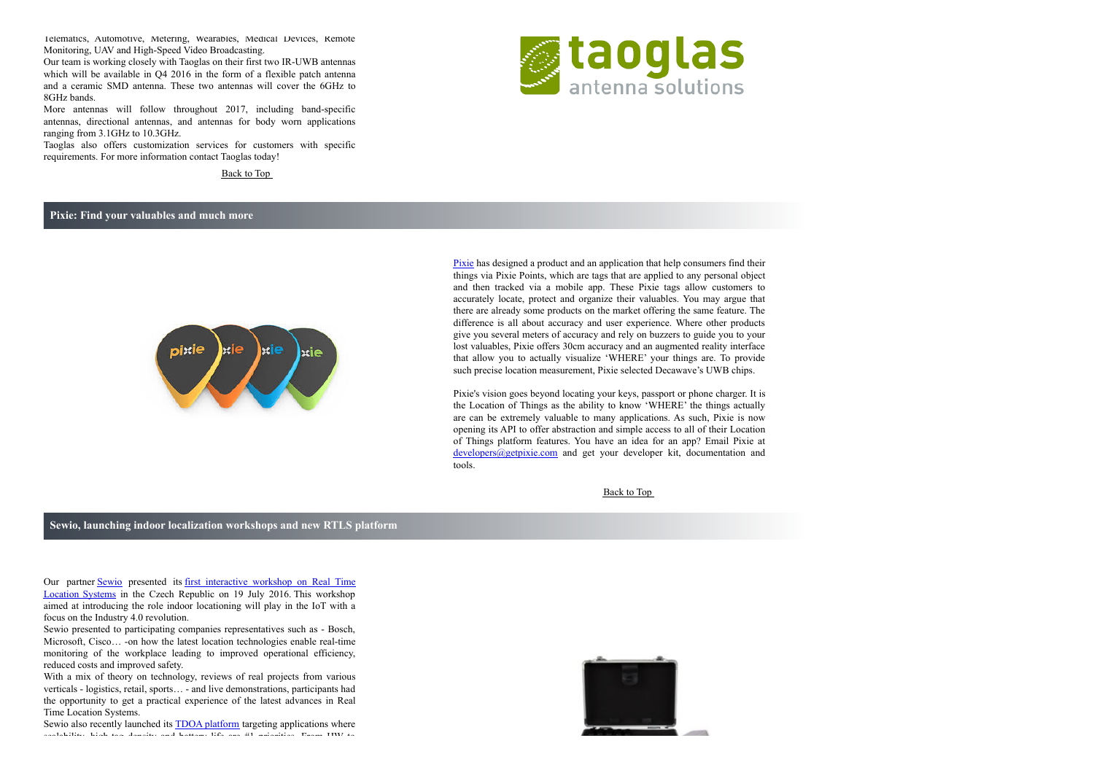Telematics, Automotive, Metering, Wearables, Medical Devices, Remote Monitoring, UAV and High-Speed Video Broadcasting.

Our team is working closely with Taoglas on their first two IR-UWB antennas which will be available in O4 2016 in the form of a flexible patch antenna and a ceramic SMD antenna. These two antennas will cover the 6GHz to 8GHz bands.

More antennas will follow throughout 2017, including band-specific antennas, directional antennas, and antennas for body worn applications ranging from 3.1GHz to 10.3GHz.

Taoglas also offers customization services for customers with specific requirements. For more information contact Taoglas today!

Back to Top

## <span id="page-1-0"></span>**Pixie: Find your valuables and much more**



[Pixie](https://www.getpixie.com/) has designed a product and an application that help consumers find their things via Pixie Points, which are tags that are applied to any personal object and then tracked via a mobile app. These Pixie tags allow customers to accurately locate, protect and organize their valuables. You may argue that there are already some products on the market offering the same feature. The difference is all about accuracy and user experience. Where other products give you several meters of accuracy and rely on buzzers to guide you to your lost valuables, Pixie offers 30cm accuracy and an augmented reality interface that allow you to actually visualize 'WHERE' your things are. To provide such precise location measurement, Pixie selected Decawave's UWB chips.

Pixie's vision goes beyond locating your keys, passport or phone charger. It is the Location of Things as the ability to know 'WHERE' the things actually are can be extremely valuable to many applications. As such, Pixie is now opening its API to offer abstraction and simple access to all of their Location of Things platform features. You have an idea for an app? Email Pixie at [developers@getpixie.com](mailto:developers@getpixie.com) and get your developer kit, documentation and tools.

#### Back to Top

### <span id="page-1-1"></span>**Sewio, launching indoor localization workshops and new RTLS platform**

Our partner [Sewio](http://www.sewio.net/) presented its first [interactive](http://www.sewio.net/sewio-connected-top-5-iot-players-in-czech-republic/) workshop on Real Time Location Systems in the Czech Republic on 19 July 2016. This workshop aimed at introducing the role indoor locationing will play in the IoT with a focus on the Industry 4.0 revolution.

Sewio presented to participating companies representatives such as - Bosch, Microsoft, Cisco... -on how the latest location technologies enable real-time monitoring of the workplace leading to improved operational efficiency, reduced costs and improved safety.

With a mix of theory on technology, reviews of real projects from various verticals - logistics, retail, sports… - and live demonstrations, participants had the opportunity to get a practical experience of the latest advances in Real Time Location Systems.

Sewio also recently launched its **TDOA** [platform](http://www.sewio.net/rtls-tdoa/) targeting applications where scalability, high-tag density and battery life are #1 priorities. From HW to